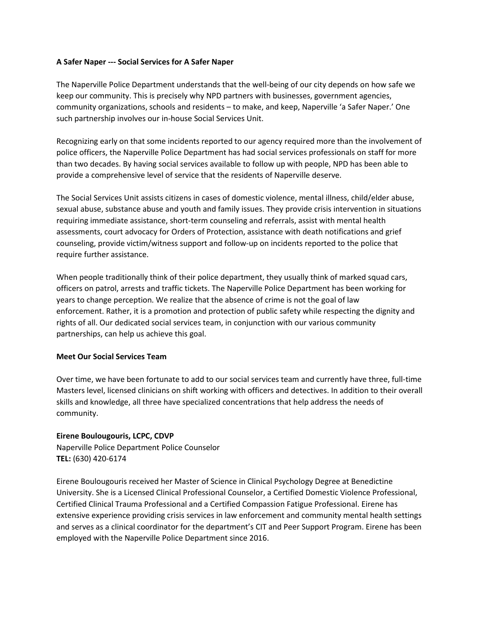### **A Safer Naper --- Social Services for A Safer Naper**

The Naperville Police Department understands that the well-being of our city depends on how safe we keep our community. This is precisely why NPD partners with businesses, government agencies, community organizations, schools and residents – to make, and keep, Naperville 'a Safer Naper.' One such partnership involves our in-house Social Services Unit.

Recognizing early on that some incidents reported to our agency required more than the involvement of police officers, the Naperville Police Department has had social services professionals on staff for more than two decades. By having social services available to follow up with people, NPD has been able to provide a comprehensive level of service that the residents of Naperville deserve.

The Social Services Unit assists citizens in cases of domestic violence, mental illness, child/elder abuse, sexual abuse, substance abuse and youth and family issues. They provide crisis intervention in situations requiring immediate assistance, short-term counseling and referrals, assist with mental health assessments, court advocacy for Orders of Protection, assistance with death notifications and grief counseling, provide victim/witness support and follow-up on incidents reported to the police that require further assistance.

When people traditionally think of their police department, they usually think of marked squad cars, officers on patrol, arrests and traffic tickets. The Naperville Police Department has been working for years to change perception. We realize that the absence of crime is not the goal of law enforcement. Rather, it is a promotion and protection of public safety while respecting the dignity and rights of all. Our dedicated social services team, in conjunction with our various community partnerships, can help us achieve this goal.

### **Meet Our Social Services Team**

Over time, we have been fortunate to add to our social services team and currently have three, full-time Masters level, licensed clinicians on shift working with officers and detectives. In addition to their overall skills and knowledge, all three have specialized concentrations that help address the needs of community.

### **Eirene Boulougouris, LCPC, CDVP**

Naperville Police Department Police Counselor **TEL:** [\(630\) 420-6174](tel:(630)%20420-6174)

Eirene Boulougouris received her Master of Science in Clinical Psychology Degree at Benedictine University. She is a Licensed Clinical Professional Counselor, a Certified Domestic Violence Professional, Certified Clinical Trauma Professional and a Certified Compassion Fatigue Professional. Eirene has extensive experience providing crisis services in law enforcement and community mental health settings and serves as a clinical coordinator for the department's CIT and Peer Support Program. Eirene has been employed with the Naperville Police Department since 2016.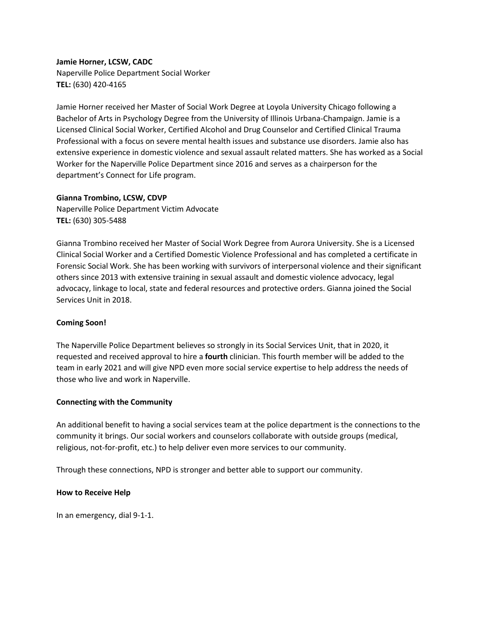### **Jamie Horner, LCSW, CADC**

Naperville Police Department Social Worker **TEL:** [\(630\) 420-4165](tel:(630)%20420-4165)

Jamie Horner received her Master of Social Work Degree at Loyola University Chicago following a Bachelor of Arts in Psychology Degree from the University of Illinois Urbana-Champaign. Jamie is a Licensed Clinical Social Worker, Certified Alcohol and Drug Counselor and Certified Clinical Trauma Professional with a focus on severe mental health issues and substance use disorders. Jamie also has extensive experience in domestic violence and sexual assault related matters. She has worked as a Social Worker for the Naperville Police Department since 2016 and serves as a chairperson for the department's Connect for Life program.

## **Gianna Trombino, LCSW, CDVP**

Naperville Police Department Victim Advocate **TEL:** [\(630\) 305-5488](tel:(630)%20305-5488)

Gianna Trombino received her Master of Social Work Degree from Aurora University. She is a Licensed Clinical Social Worker and a Certified Domestic Violence Professional and has completed a certificate in Forensic Social Work. She has been working with survivors of interpersonal violence and their significant others since 2013 with extensive training in sexual assault and domestic violence advocacy, legal advocacy, linkage to local, state and federal resources and protective orders. Gianna joined the Social Services Unit in 2018.

# **Coming Soon!**

The Naperville Police Department believes so strongly in its Social Services Unit, that in 2020, it requested and received approval to hire a **fourth** clinician. This fourth member will be added to the team in early 2021 and will give NPD even more social service expertise to help address the needs of those who live and work in Naperville.

### **Connecting with the Community**

An additional benefit to having a social services team at the police department is the connections to the community it brings. Our social workers and counselors collaborate with outside groups (medical, religious, not-for-profit, etc.) to help deliver even more services to our community.

Through these connections, NPD is stronger and better able to support our community.

### **How to Receive Help**

In an emergency, dial 9-1-1.